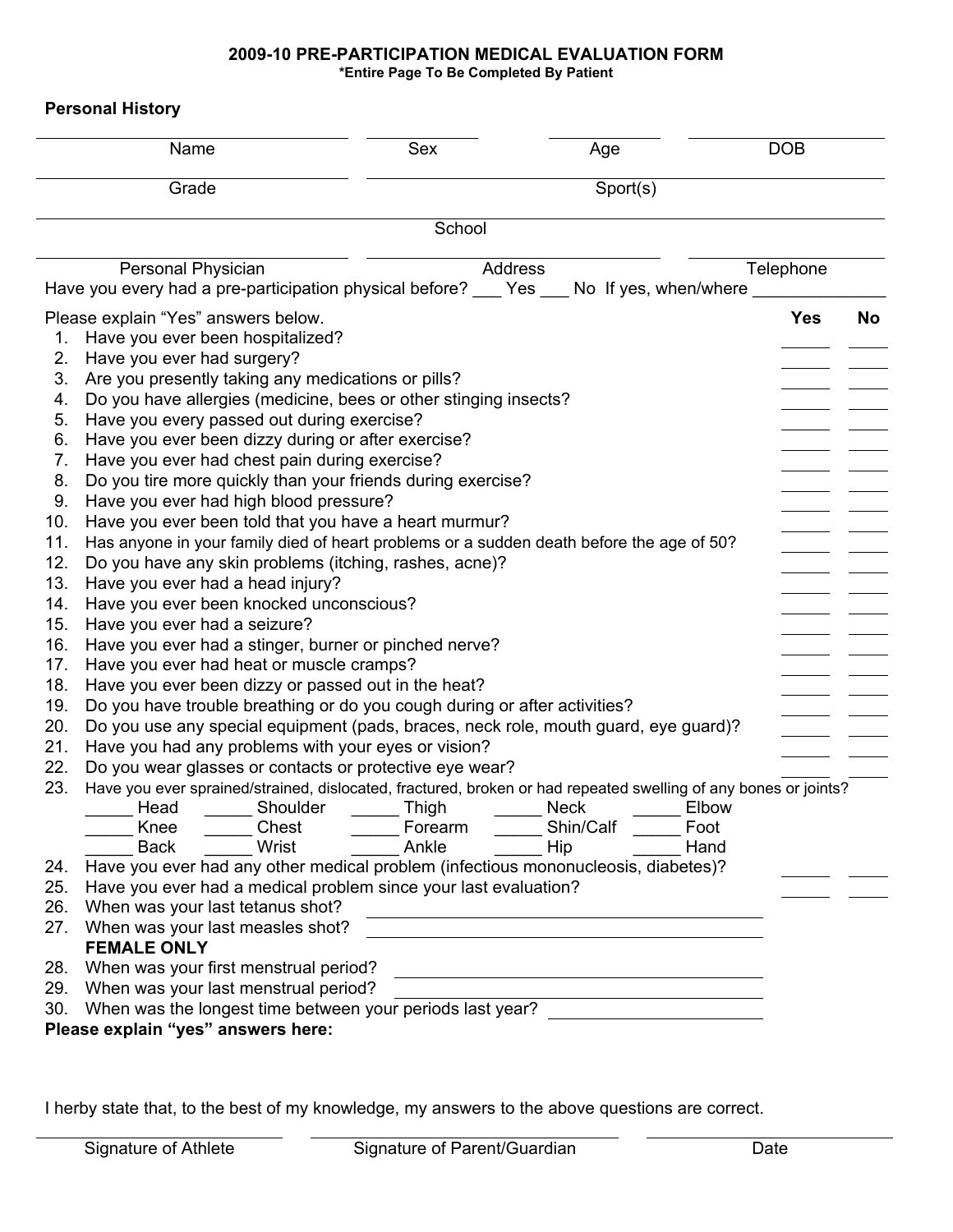### **2009-10 PRE-PARTICIPATION MEDICAL EVALUATION FORM \*Entire Page To Be Completed By Patient**

**Personal History** 

| Grade<br>Sport(s)<br>School<br>Personal Physician<br>Telephone<br>Address<br>Have you every had a pre-participation physical before? ___ Yes ___ No If yes, when/where<br>Please explain "Yes" answers below.<br><b>Yes</b><br><b>No</b><br>Have you ever been hospitalized?<br>1.<br>2.<br>Have you ever had surgery?<br>Are you presently taking any medications or pills?<br>3.<br>Do you have allergies (medicine, bees or other stinging insects?<br>4.<br>Have you every passed out during exercise?<br>5.<br>Have you ever been dizzy during or after exercise?<br>6.<br>Have you ever had chest pain during exercise?<br>7.<br>Do you tire more quickly than your friends during exercise?<br>8.<br>Have you ever had high blood pressure?<br>9.<br>Have you ever been told that you have a heart murmur?<br>10.<br>Has anyone in your family died of heart problems or a sudden death before the age of 50?<br>11.<br>12.<br>Do you have any skin problems (itching, rashes, acne)?<br>13.<br>Have you ever had a head injury?<br>14.<br>Have you ever been knocked unconscious?<br>15.<br>Have you ever had a seizure?<br>16.<br>Have you ever had a stinger, burner or pinched nerve?<br>17.<br>Have you ever had heat or muscle cramps?<br>Have you ever been dizzy or passed out in the heat?<br>18.<br>Do you have trouble breathing or do you cough during or after activities?<br>19.<br>20.<br>Do you use any special equipment (pads, braces, neck role, mouth guard, eye guard)?<br>21.<br>Have you had any problems with your eyes or vision?<br>22.<br>Do you wear glasses or contacts or protective eye wear?<br>23.<br>Have you ever sprained/strained, dislocated, fractured, broken or had repeated swelling of any bones or joints?<br>Shoulder<br>Head<br>Thigh<br><b>Neck</b><br>Elbow<br>Shin/Calf<br>Knee<br>Chest<br>Forearm<br>Foot<br>Wrist<br>Ankle<br><b>Back</b><br>Hip<br>Hand<br>Have you ever had any other medical problem (infectious mononucleosis, diabetes)?<br>24.<br>25.<br>Have you ever had a medical problem since your last evaluation?<br>26.<br>When was your last tetanus shot?<br><u> 1980 - Andrea Barbara, poeta esperanto-poeta esperanto-poeta esperanto-poeta esperanto-poeta esperanto-poeta</u><br>When was your last measles shot?<br>27.<br><b>FEMALE ONLY</b><br>When was your first menstrual period?<br>28.<br>29.<br>When was your last menstrual period?<br>When was the longest time between your periods last year?<br>30. | Name                               | Sex | Age | <b>DOB</b> |  |  |  |  |  |
|--------------------------------------------------------------------------------------------------------------------------------------------------------------------------------------------------------------------------------------------------------------------------------------------------------------------------------------------------------------------------------------------------------------------------------------------------------------------------------------------------------------------------------------------------------------------------------------------------------------------------------------------------------------------------------------------------------------------------------------------------------------------------------------------------------------------------------------------------------------------------------------------------------------------------------------------------------------------------------------------------------------------------------------------------------------------------------------------------------------------------------------------------------------------------------------------------------------------------------------------------------------------------------------------------------------------------------------------------------------------------------------------------------------------------------------------------------------------------------------------------------------------------------------------------------------------------------------------------------------------------------------------------------------------------------------------------------------------------------------------------------------------------------------------------------------------------------------------------------------------------------------------------------------------------------------------------------------------------------------------------------------------------------------------------------------------------------------------------------------------------------------------------------------------------------------------------------------------------------------------------------------------------------------------------------------------------------------------------------------------------------------------------------------------------------------------------------------------------------------------------|------------------------------------|-----|-----|------------|--|--|--|--|--|
|                                                                                                                                                                                                                                                                                                                                                                                                                                                                                                                                                                                                                                                                                                                                                                                                                                                                                                                                                                                                                                                                                                                                                                                                                                                                                                                                                                                                                                                                                                                                                                                                                                                                                                                                                                                                                                                                                                                                                                                                                                                                                                                                                                                                                                                                                                                                                                                                                                                                                                  |                                    |     |     |            |  |  |  |  |  |
|                                                                                                                                                                                                                                                                                                                                                                                                                                                                                                                                                                                                                                                                                                                                                                                                                                                                                                                                                                                                                                                                                                                                                                                                                                                                                                                                                                                                                                                                                                                                                                                                                                                                                                                                                                                                                                                                                                                                                                                                                                                                                                                                                                                                                                                                                                                                                                                                                                                                                                  |                                    |     |     |            |  |  |  |  |  |
|                                                                                                                                                                                                                                                                                                                                                                                                                                                                                                                                                                                                                                                                                                                                                                                                                                                                                                                                                                                                                                                                                                                                                                                                                                                                                                                                                                                                                                                                                                                                                                                                                                                                                                                                                                                                                                                                                                                                                                                                                                                                                                                                                                                                                                                                                                                                                                                                                                                                                                  |                                    |     |     |            |  |  |  |  |  |
|                                                                                                                                                                                                                                                                                                                                                                                                                                                                                                                                                                                                                                                                                                                                                                                                                                                                                                                                                                                                                                                                                                                                                                                                                                                                                                                                                                                                                                                                                                                                                                                                                                                                                                                                                                                                                                                                                                                                                                                                                                                                                                                                                                                                                                                                                                                                                                                                                                                                                                  |                                    |     |     |            |  |  |  |  |  |
|                                                                                                                                                                                                                                                                                                                                                                                                                                                                                                                                                                                                                                                                                                                                                                                                                                                                                                                                                                                                                                                                                                                                                                                                                                                                                                                                                                                                                                                                                                                                                                                                                                                                                                                                                                                                                                                                                                                                                                                                                                                                                                                                                                                                                                                                                                                                                                                                                                                                                                  |                                    |     |     |            |  |  |  |  |  |
|                                                                                                                                                                                                                                                                                                                                                                                                                                                                                                                                                                                                                                                                                                                                                                                                                                                                                                                                                                                                                                                                                                                                                                                                                                                                                                                                                                                                                                                                                                                                                                                                                                                                                                                                                                                                                                                                                                                                                                                                                                                                                                                                                                                                                                                                                                                                                                                                                                                                                                  |                                    |     |     |            |  |  |  |  |  |
|                                                                                                                                                                                                                                                                                                                                                                                                                                                                                                                                                                                                                                                                                                                                                                                                                                                                                                                                                                                                                                                                                                                                                                                                                                                                                                                                                                                                                                                                                                                                                                                                                                                                                                                                                                                                                                                                                                                                                                                                                                                                                                                                                                                                                                                                                                                                                                                                                                                                                                  |                                    |     |     |            |  |  |  |  |  |
|                                                                                                                                                                                                                                                                                                                                                                                                                                                                                                                                                                                                                                                                                                                                                                                                                                                                                                                                                                                                                                                                                                                                                                                                                                                                                                                                                                                                                                                                                                                                                                                                                                                                                                                                                                                                                                                                                                                                                                                                                                                                                                                                                                                                                                                                                                                                                                                                                                                                                                  |                                    |     |     |            |  |  |  |  |  |
|                                                                                                                                                                                                                                                                                                                                                                                                                                                                                                                                                                                                                                                                                                                                                                                                                                                                                                                                                                                                                                                                                                                                                                                                                                                                                                                                                                                                                                                                                                                                                                                                                                                                                                                                                                                                                                                                                                                                                                                                                                                                                                                                                                                                                                                                                                                                                                                                                                                                                                  |                                    |     |     |            |  |  |  |  |  |
|                                                                                                                                                                                                                                                                                                                                                                                                                                                                                                                                                                                                                                                                                                                                                                                                                                                                                                                                                                                                                                                                                                                                                                                                                                                                                                                                                                                                                                                                                                                                                                                                                                                                                                                                                                                                                                                                                                                                                                                                                                                                                                                                                                                                                                                                                                                                                                                                                                                                                                  |                                    |     |     |            |  |  |  |  |  |
|                                                                                                                                                                                                                                                                                                                                                                                                                                                                                                                                                                                                                                                                                                                                                                                                                                                                                                                                                                                                                                                                                                                                                                                                                                                                                                                                                                                                                                                                                                                                                                                                                                                                                                                                                                                                                                                                                                                                                                                                                                                                                                                                                                                                                                                                                                                                                                                                                                                                                                  |                                    |     |     |            |  |  |  |  |  |
|                                                                                                                                                                                                                                                                                                                                                                                                                                                                                                                                                                                                                                                                                                                                                                                                                                                                                                                                                                                                                                                                                                                                                                                                                                                                                                                                                                                                                                                                                                                                                                                                                                                                                                                                                                                                                                                                                                                                                                                                                                                                                                                                                                                                                                                                                                                                                                                                                                                                                                  |                                    |     |     |            |  |  |  |  |  |
|                                                                                                                                                                                                                                                                                                                                                                                                                                                                                                                                                                                                                                                                                                                                                                                                                                                                                                                                                                                                                                                                                                                                                                                                                                                                                                                                                                                                                                                                                                                                                                                                                                                                                                                                                                                                                                                                                                                                                                                                                                                                                                                                                                                                                                                                                                                                                                                                                                                                                                  |                                    |     |     |            |  |  |  |  |  |
|                                                                                                                                                                                                                                                                                                                                                                                                                                                                                                                                                                                                                                                                                                                                                                                                                                                                                                                                                                                                                                                                                                                                                                                                                                                                                                                                                                                                                                                                                                                                                                                                                                                                                                                                                                                                                                                                                                                                                                                                                                                                                                                                                                                                                                                                                                                                                                                                                                                                                                  |                                    |     |     |            |  |  |  |  |  |
|                                                                                                                                                                                                                                                                                                                                                                                                                                                                                                                                                                                                                                                                                                                                                                                                                                                                                                                                                                                                                                                                                                                                                                                                                                                                                                                                                                                                                                                                                                                                                                                                                                                                                                                                                                                                                                                                                                                                                                                                                                                                                                                                                                                                                                                                                                                                                                                                                                                                                                  |                                    |     |     |            |  |  |  |  |  |
|                                                                                                                                                                                                                                                                                                                                                                                                                                                                                                                                                                                                                                                                                                                                                                                                                                                                                                                                                                                                                                                                                                                                                                                                                                                                                                                                                                                                                                                                                                                                                                                                                                                                                                                                                                                                                                                                                                                                                                                                                                                                                                                                                                                                                                                                                                                                                                                                                                                                                                  |                                    |     |     |            |  |  |  |  |  |
|                                                                                                                                                                                                                                                                                                                                                                                                                                                                                                                                                                                                                                                                                                                                                                                                                                                                                                                                                                                                                                                                                                                                                                                                                                                                                                                                                                                                                                                                                                                                                                                                                                                                                                                                                                                                                                                                                                                                                                                                                                                                                                                                                                                                                                                                                                                                                                                                                                                                                                  |                                    |     |     |            |  |  |  |  |  |
|                                                                                                                                                                                                                                                                                                                                                                                                                                                                                                                                                                                                                                                                                                                                                                                                                                                                                                                                                                                                                                                                                                                                                                                                                                                                                                                                                                                                                                                                                                                                                                                                                                                                                                                                                                                                                                                                                                                                                                                                                                                                                                                                                                                                                                                                                                                                                                                                                                                                                                  |                                    |     |     |            |  |  |  |  |  |
|                                                                                                                                                                                                                                                                                                                                                                                                                                                                                                                                                                                                                                                                                                                                                                                                                                                                                                                                                                                                                                                                                                                                                                                                                                                                                                                                                                                                                                                                                                                                                                                                                                                                                                                                                                                                                                                                                                                                                                                                                                                                                                                                                                                                                                                                                                                                                                                                                                                                                                  |                                    |     |     |            |  |  |  |  |  |
|                                                                                                                                                                                                                                                                                                                                                                                                                                                                                                                                                                                                                                                                                                                                                                                                                                                                                                                                                                                                                                                                                                                                                                                                                                                                                                                                                                                                                                                                                                                                                                                                                                                                                                                                                                                                                                                                                                                                                                                                                                                                                                                                                                                                                                                                                                                                                                                                                                                                                                  |                                    |     |     |            |  |  |  |  |  |
|                                                                                                                                                                                                                                                                                                                                                                                                                                                                                                                                                                                                                                                                                                                                                                                                                                                                                                                                                                                                                                                                                                                                                                                                                                                                                                                                                                                                                                                                                                                                                                                                                                                                                                                                                                                                                                                                                                                                                                                                                                                                                                                                                                                                                                                                                                                                                                                                                                                                                                  |                                    |     |     |            |  |  |  |  |  |
|                                                                                                                                                                                                                                                                                                                                                                                                                                                                                                                                                                                                                                                                                                                                                                                                                                                                                                                                                                                                                                                                                                                                                                                                                                                                                                                                                                                                                                                                                                                                                                                                                                                                                                                                                                                                                                                                                                                                                                                                                                                                                                                                                                                                                                                                                                                                                                                                                                                                                                  |                                    |     |     |            |  |  |  |  |  |
|                                                                                                                                                                                                                                                                                                                                                                                                                                                                                                                                                                                                                                                                                                                                                                                                                                                                                                                                                                                                                                                                                                                                                                                                                                                                                                                                                                                                                                                                                                                                                                                                                                                                                                                                                                                                                                                                                                                                                                                                                                                                                                                                                                                                                                                                                                                                                                                                                                                                                                  |                                    |     |     |            |  |  |  |  |  |
|                                                                                                                                                                                                                                                                                                                                                                                                                                                                                                                                                                                                                                                                                                                                                                                                                                                                                                                                                                                                                                                                                                                                                                                                                                                                                                                                                                                                                                                                                                                                                                                                                                                                                                                                                                                                                                                                                                                                                                                                                                                                                                                                                                                                                                                                                                                                                                                                                                                                                                  |                                    |     |     |            |  |  |  |  |  |
|                                                                                                                                                                                                                                                                                                                                                                                                                                                                                                                                                                                                                                                                                                                                                                                                                                                                                                                                                                                                                                                                                                                                                                                                                                                                                                                                                                                                                                                                                                                                                                                                                                                                                                                                                                                                                                                                                                                                                                                                                                                                                                                                                                                                                                                                                                                                                                                                                                                                                                  |                                    |     |     |            |  |  |  |  |  |
|                                                                                                                                                                                                                                                                                                                                                                                                                                                                                                                                                                                                                                                                                                                                                                                                                                                                                                                                                                                                                                                                                                                                                                                                                                                                                                                                                                                                                                                                                                                                                                                                                                                                                                                                                                                                                                                                                                                                                                                                                                                                                                                                                                                                                                                                                                                                                                                                                                                                                                  |                                    |     |     |            |  |  |  |  |  |
|                                                                                                                                                                                                                                                                                                                                                                                                                                                                                                                                                                                                                                                                                                                                                                                                                                                                                                                                                                                                                                                                                                                                                                                                                                                                                                                                                                                                                                                                                                                                                                                                                                                                                                                                                                                                                                                                                                                                                                                                                                                                                                                                                                                                                                                                                                                                                                                                                                                                                                  |                                    |     |     |            |  |  |  |  |  |
|                                                                                                                                                                                                                                                                                                                                                                                                                                                                                                                                                                                                                                                                                                                                                                                                                                                                                                                                                                                                                                                                                                                                                                                                                                                                                                                                                                                                                                                                                                                                                                                                                                                                                                                                                                                                                                                                                                                                                                                                                                                                                                                                                                                                                                                                                                                                                                                                                                                                                                  |                                    |     |     |            |  |  |  |  |  |
|                                                                                                                                                                                                                                                                                                                                                                                                                                                                                                                                                                                                                                                                                                                                                                                                                                                                                                                                                                                                                                                                                                                                                                                                                                                                                                                                                                                                                                                                                                                                                                                                                                                                                                                                                                                                                                                                                                                                                                                                                                                                                                                                                                                                                                                                                                                                                                                                                                                                                                  |                                    |     |     |            |  |  |  |  |  |
|                                                                                                                                                                                                                                                                                                                                                                                                                                                                                                                                                                                                                                                                                                                                                                                                                                                                                                                                                                                                                                                                                                                                                                                                                                                                                                                                                                                                                                                                                                                                                                                                                                                                                                                                                                                                                                                                                                                                                                                                                                                                                                                                                                                                                                                                                                                                                                                                                                                                                                  |                                    |     |     |            |  |  |  |  |  |
|                                                                                                                                                                                                                                                                                                                                                                                                                                                                                                                                                                                                                                                                                                                                                                                                                                                                                                                                                                                                                                                                                                                                                                                                                                                                                                                                                                                                                                                                                                                                                                                                                                                                                                                                                                                                                                                                                                                                                                                                                                                                                                                                                                                                                                                                                                                                                                                                                                                                                                  |                                    |     |     |            |  |  |  |  |  |
|                                                                                                                                                                                                                                                                                                                                                                                                                                                                                                                                                                                                                                                                                                                                                                                                                                                                                                                                                                                                                                                                                                                                                                                                                                                                                                                                                                                                                                                                                                                                                                                                                                                                                                                                                                                                                                                                                                                                                                                                                                                                                                                                                                                                                                                                                                                                                                                                                                                                                                  |                                    |     |     |            |  |  |  |  |  |
|                                                                                                                                                                                                                                                                                                                                                                                                                                                                                                                                                                                                                                                                                                                                                                                                                                                                                                                                                                                                                                                                                                                                                                                                                                                                                                                                                                                                                                                                                                                                                                                                                                                                                                                                                                                                                                                                                                                                                                                                                                                                                                                                                                                                                                                                                                                                                                                                                                                                                                  |                                    |     |     |            |  |  |  |  |  |
|                                                                                                                                                                                                                                                                                                                                                                                                                                                                                                                                                                                                                                                                                                                                                                                                                                                                                                                                                                                                                                                                                                                                                                                                                                                                                                                                                                                                                                                                                                                                                                                                                                                                                                                                                                                                                                                                                                                                                                                                                                                                                                                                                                                                                                                                                                                                                                                                                                                                                                  |                                    |     |     |            |  |  |  |  |  |
|                                                                                                                                                                                                                                                                                                                                                                                                                                                                                                                                                                                                                                                                                                                                                                                                                                                                                                                                                                                                                                                                                                                                                                                                                                                                                                                                                                                                                                                                                                                                                                                                                                                                                                                                                                                                                                                                                                                                                                                                                                                                                                                                                                                                                                                                                                                                                                                                                                                                                                  |                                    |     |     |            |  |  |  |  |  |
|                                                                                                                                                                                                                                                                                                                                                                                                                                                                                                                                                                                                                                                                                                                                                                                                                                                                                                                                                                                                                                                                                                                                                                                                                                                                                                                                                                                                                                                                                                                                                                                                                                                                                                                                                                                                                                                                                                                                                                                                                                                                                                                                                                                                                                                                                                                                                                                                                                                                                                  |                                    |     |     |            |  |  |  |  |  |
|                                                                                                                                                                                                                                                                                                                                                                                                                                                                                                                                                                                                                                                                                                                                                                                                                                                                                                                                                                                                                                                                                                                                                                                                                                                                                                                                                                                                                                                                                                                                                                                                                                                                                                                                                                                                                                                                                                                                                                                                                                                                                                                                                                                                                                                                                                                                                                                                                                                                                                  | Please explain "yes" answers here: |     |     |            |  |  |  |  |  |

I herby state that, to the best of my knowledge, my answers to the above questions are correct.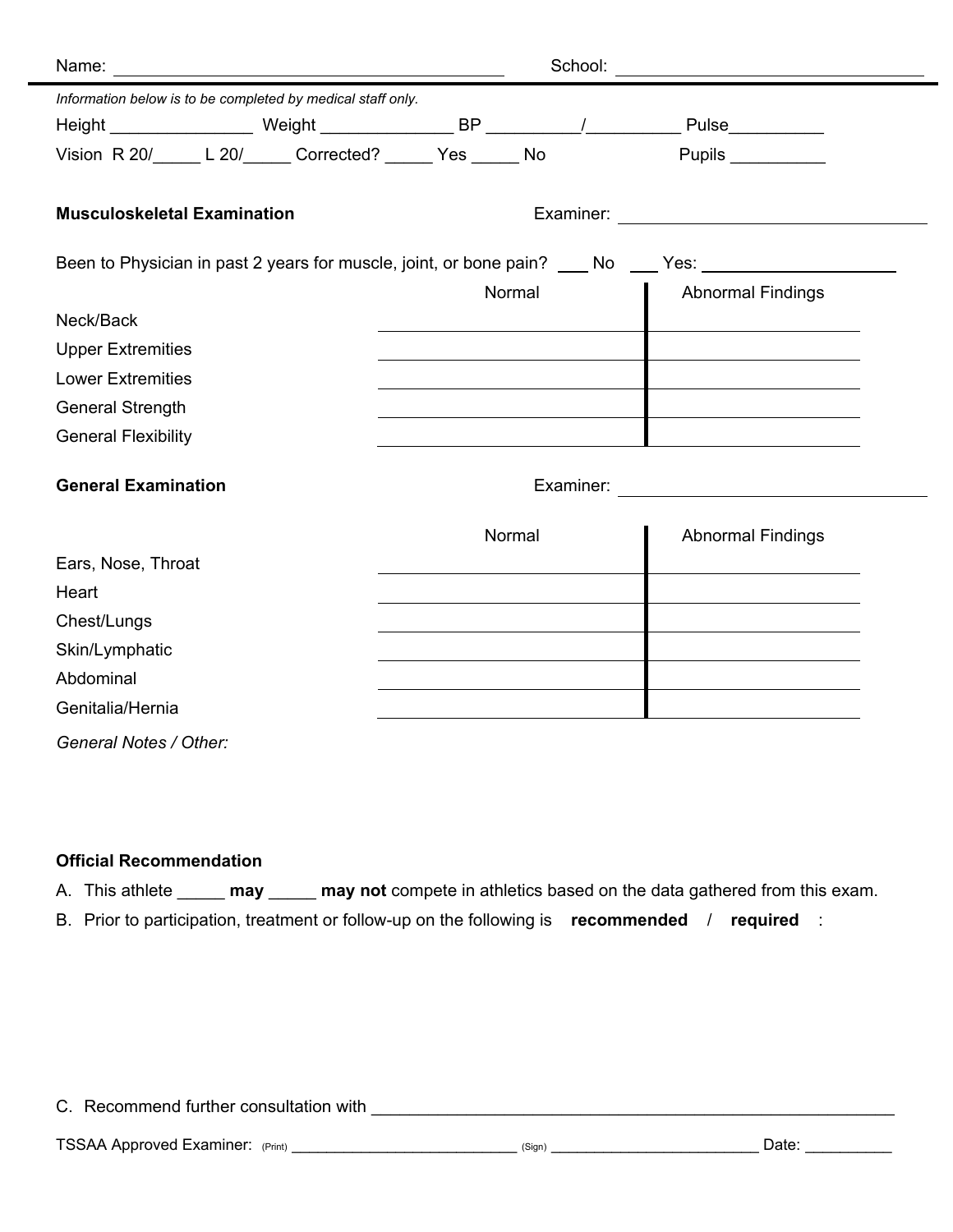| Name:                              |                                                             |        | School: |                                                                                                      |  |
|------------------------------------|-------------------------------------------------------------|--------|---------|------------------------------------------------------------------------------------------------------|--|
|                                    | Information below is to be completed by medical staff only. |        |         |                                                                                                      |  |
|                                    |                                                             |        |         |                                                                                                      |  |
|                                    | Vision R 20/_____ L 20/______ Corrected? _____ Yes _____ No |        |         | Pupils __________                                                                                    |  |
|                                    |                                                             |        |         |                                                                                                      |  |
| <b>Musculoskeletal Examination</b> |                                                             |        |         |                                                                                                      |  |
|                                    |                                                             |        |         |                                                                                                      |  |
|                                    |                                                             |        |         | Been to Physician in past 2 years for muscle, joint, or bone pain? ____ No ____ Yes: _______________ |  |
|                                    |                                                             | Normal |         | <b>Abnormal Findings</b>                                                                             |  |
| Neck/Back                          |                                                             |        |         |                                                                                                      |  |
| <b>Upper Extremities</b>           |                                                             |        |         |                                                                                                      |  |
| <b>Lower Extremities</b>           |                                                             |        |         |                                                                                                      |  |
| <b>General Strength</b>            |                                                             |        |         |                                                                                                      |  |
| <b>General Flexibility</b>         |                                                             |        |         |                                                                                                      |  |
|                                    |                                                             |        |         |                                                                                                      |  |
| <b>General Examination</b>         |                                                             |        |         |                                                                                                      |  |
|                                    |                                                             | Normal |         | <b>Abnormal Findings</b>                                                                             |  |
| Ears, Nose, Throat                 |                                                             |        |         |                                                                                                      |  |
| Heart                              |                                                             |        |         |                                                                                                      |  |
| Chest/Lungs                        |                                                             |        |         |                                                                                                      |  |
| Skin/Lymphatic                     |                                                             |        |         |                                                                                                      |  |
| Abdominal                          |                                                             |        |         |                                                                                                      |  |
| Genitalia/Hernia                   |                                                             |        |         |                                                                                                      |  |
| General Notes / Other:             |                                                             |        |         |                                                                                                      |  |
|                                    |                                                             |        |         |                                                                                                      |  |

# **Official Recommendation**

A. This athlete \_\_\_\_\_\_ **may** \_\_\_\_\_ **may not** compete in athletics based on the data gathered from this exam.

B. Prior to participation, treatment or follow-up on the following is **recommended** / **required** :

C. Recommend further consultation with \_\_\_\_\_\_\_\_\_\_\_\_\_\_\_\_\_\_\_\_\_\_\_\_\_\_\_\_\_\_\_\_\_\_\_\_\_\_\_\_\_\_\_\_\_\_\_\_\_\_\_\_\_\_\_

TSSAA Approved Examiner: (Print) \_\_\_\_\_\_\_\_\_\_\_\_\_\_\_\_\_\_\_\_\_\_\_\_\_\_ (Sign) \_\_\_\_\_\_\_\_\_\_\_\_\_\_\_\_\_\_\_\_\_\_\_\_ Date: \_\_\_\_\_\_\_\_\_\_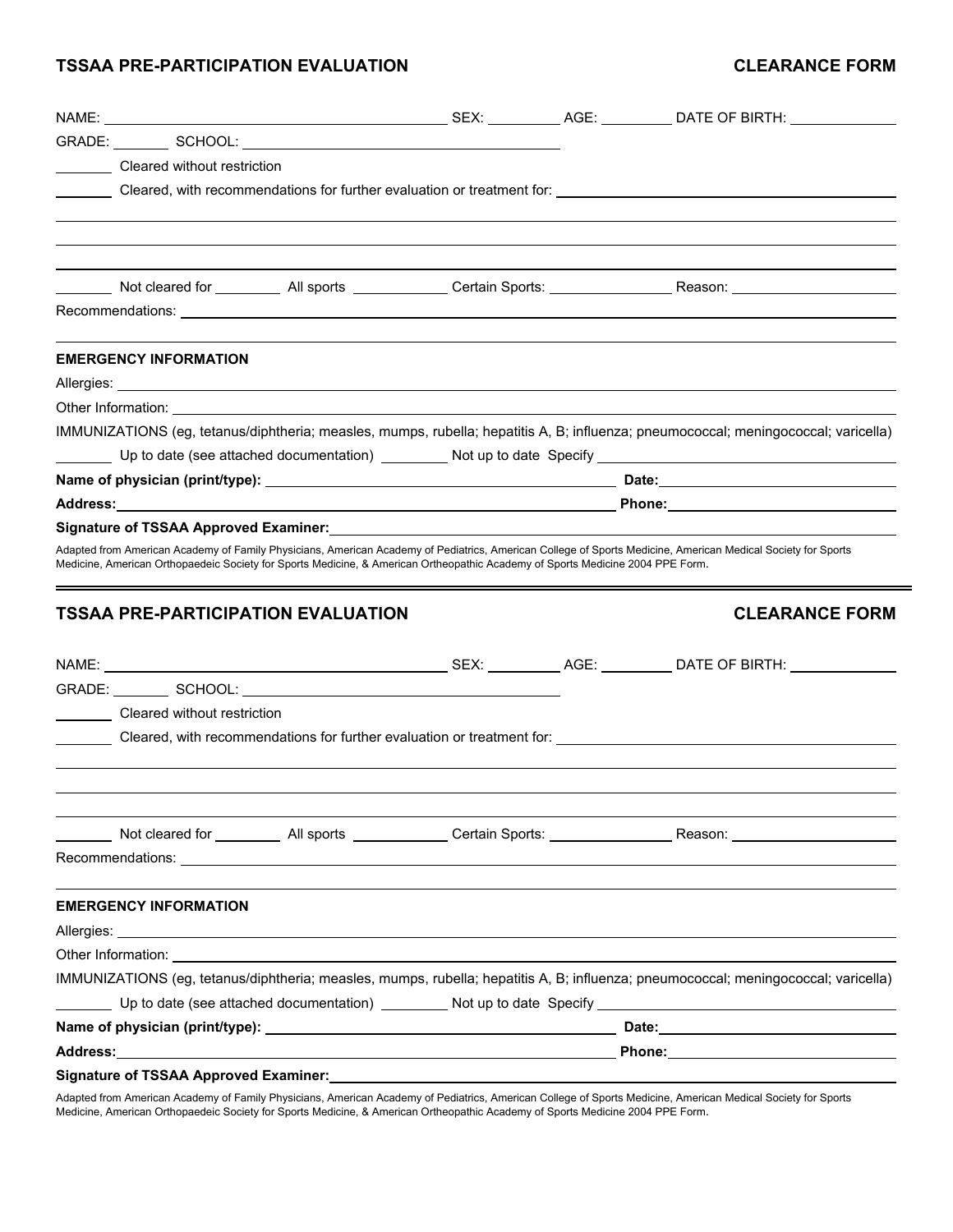## **TSSAA PRE-PARTICIPATION EVALUATION CLEARANCE FORM**

| NAME:                        |                                                                                                                                                                                                                                |  |                                                                                                                                                                 |
|------------------------------|--------------------------------------------------------------------------------------------------------------------------------------------------------------------------------------------------------------------------------|--|-----------------------------------------------------------------------------------------------------------------------------------------------------------------|
|                              |                                                                                                                                                                                                                                |  |                                                                                                                                                                 |
| Cleared without restriction  |                                                                                                                                                                                                                                |  |                                                                                                                                                                 |
|                              |                                                                                                                                                                                                                                |  | Cleared, with recommendations for further evaluation or treatment for:                                                                                          |
|                              |                                                                                                                                                                                                                                |  |                                                                                                                                                                 |
|                              |                                                                                                                                                                                                                                |  | _______ Not cleared for ___________ All sports ______________ Certain Sports: ________________________________                                                  |
| <b>EMERGENCY INFORMATION</b> |                                                                                                                                                                                                                                |  |                                                                                                                                                                 |
|                              |                                                                                                                                                                                                                                |  |                                                                                                                                                                 |
|                              |                                                                                                                                                                                                                                |  |                                                                                                                                                                 |
|                              |                                                                                                                                                                                                                                |  | IMMUNIZATIONS (eg. tetanus/diphtheria; measles, mumps, rubella; hepatitis A, B; influenza; pneumococcal; meningococcal; varicella)                              |
|                              |                                                                                                                                                                                                                                |  |                                                                                                                                                                 |
|                              |                                                                                                                                                                                                                                |  |                                                                                                                                                                 |
|                              |                                                                                                                                                                                                                                |  |                                                                                                                                                                 |
|                              | Signature of TSSAA Approved Examiner: Signature of TSSAA Approved Examiner:                                                                                                                                                    |  |                                                                                                                                                                 |
|                              |                                                                                                                                                                                                                                |  |                                                                                                                                                                 |
|                              | Adapted from American Academy of Family Physicians, American Academy of Pediatrics, American College of Sports Medicine, American Medical Society for Sports                                                                   |  |                                                                                                                                                                 |
|                              | Medicine, American Orthopaedeic Society for Sports Medicine, & American Ortheopathic Academy of Sports Medicine 2004 PPE Form.                                                                                                 |  |                                                                                                                                                                 |
|                              | <b>TSSAA PRE-PARTICIPATION EVALUATION</b>                                                                                                                                                                                      |  | <b>CLEARANCE FORM</b>                                                                                                                                           |
|                              |                                                                                                                                                                                                                                |  |                                                                                                                                                                 |
|                              |                                                                                                                                                                                                                                |  |                                                                                                                                                                 |
| Cleared without restriction  |                                                                                                                                                                                                                                |  |                                                                                                                                                                 |
|                              |                                                                                                                                                                                                                                |  | Cleared, with recommendations for further evaluation or treatment for: University of the Cleared, with recommendations for further evaluation or treatment for: |
|                              |                                                                                                                                                                                                                                |  |                                                                                                                                                                 |
|                              |                                                                                                                                                                                                                                |  |                                                                                                                                                                 |
|                              |                                                                                                                                                                                                                                |  |                                                                                                                                                                 |
|                              |                                                                                                                                                                                                                                |  |                                                                                                                                                                 |
|                              |                                                                                                                                                                                                                                |  |                                                                                                                                                                 |
| <b>EMERGENCY INFORMATION</b> | Other Information: the contract of the contract of the contract of the contract of the contract of the contract of the contract of the contract of the contract of the contract of the contract of the contract of the contrac |  |                                                                                                                                                                 |
|                              |                                                                                                                                                                                                                                |  | IMMUNIZATIONS (eg, tetanus/diphtheria; measles, mumps, rubella; hepatitis A, B; influenza; pneumococcal; meningococcal; varicella)                              |
|                              |                                                                                                                                                                                                                                |  |                                                                                                                                                                 |
|                              |                                                                                                                                                                                                                                |  |                                                                                                                                                                 |

Adapted from American Academy of Family Physicians, American Academy of Pediatrics, American College of Sports Medicine, American Medical Society for Sports Medicine, American Orthopaedeic Society for Sports Medicine, & American Ortheopathic Academy of Sports Medicine 2004 PPE Form.